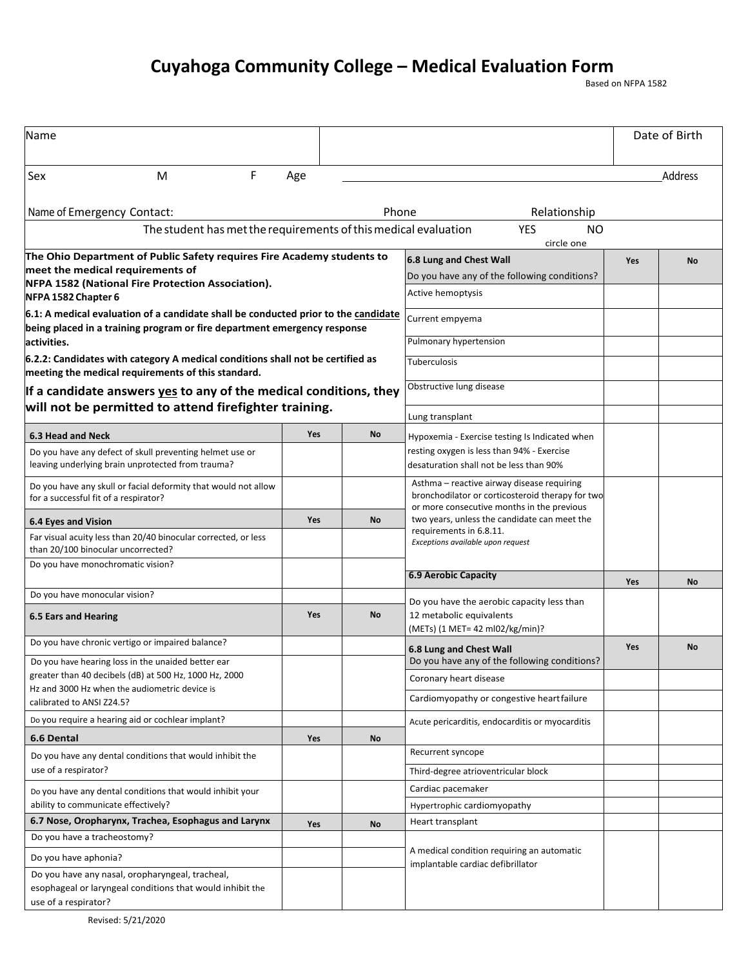## **Cuyahoga Community College – Medical Evaluation Form**<br>Based on NFPA 1582

| Name                                                                                                                                                                                   |                                                                                              |            |                                                                                                                                              |     | Date of Birth |  |  |  |
|----------------------------------------------------------------------------------------------------------------------------------------------------------------------------------------|----------------------------------------------------------------------------------------------|------------|----------------------------------------------------------------------------------------------------------------------------------------------|-----|---------------|--|--|--|
| F<br>Sex<br>м                                                                                                                                                                          | Age                                                                                          |            |                                                                                                                                              |     | Address       |  |  |  |
| Name of Emergency Contact:                                                                                                                                                             |                                                                                              |            |                                                                                                                                              |     |               |  |  |  |
| Relationship<br>The student has met the requirements of this medical evaluation<br><b>YES</b><br><b>NO</b><br>circle one                                                               |                                                                                              |            |                                                                                                                                              |     |               |  |  |  |
| The Ohio Department of Public Safety requires Fire Academy students to<br>meet the medical requirements of<br>NFPA 1582 (National Fire Protection Association).<br>NFPA 1582 Chapter 6 | 6.8 Lung and Chest Wall<br>Do you have any of the following conditions?<br>Active hemoptysis | <b>Yes</b> | No                                                                                                                                           |     |               |  |  |  |
| 6.1: A medical evaluation of a candidate shall be conducted prior to the candidate<br>being placed in a training program or fire department emergency response<br>activities.          | Current empyema<br>Pulmonary hypertension                                                    |            |                                                                                                                                              |     |               |  |  |  |
| 6.2.2: Candidates with category A medical conditions shall not be certified as<br>meeting the medical requirements of this standard.                                                   | Tuberculosis                                                                                 |            |                                                                                                                                              |     |               |  |  |  |
| If a candidate answers yes to any of the medical conditions, they                                                                                                                      | Obstructive lung disease                                                                     |            |                                                                                                                                              |     |               |  |  |  |
| will not be permitted to attend firefighter training.                                                                                                                                  |                                                                                              |            | Lung transplant                                                                                                                              |     |               |  |  |  |
| 6.3 Head and Neck                                                                                                                                                                      | <b>Yes</b>                                                                                   | <b>No</b>  | Hypoxemia - Exercise testing Is Indicated when                                                                                               |     |               |  |  |  |
| Do you have any defect of skull preventing helmet use or<br>leaving underlying brain unprotected from trauma?                                                                          |                                                                                              |            | resting oxygen is less than 94% - Exercise<br>desaturation shall not be less than 90%                                                        |     |               |  |  |  |
| Do you have any skull or facial deformity that would not allow<br>for a successful fit of a respirator?                                                                                |                                                                                              |            | Asthma - reactive airway disease requiring<br>bronchodilator or corticosteroid therapy for two<br>or more consecutive months in the previous |     |               |  |  |  |
| <b>6.4 Eyes and Vision</b>                                                                                                                                                             | Yes                                                                                          | <b>No</b>  | two years, unless the candidate can meet the                                                                                                 |     |               |  |  |  |
| Far visual acuity less than 20/40 binocular corrected, or less<br>than 20/100 binocular uncorrected?                                                                                   |                                                                                              |            | requirements in 6.8.11.<br>Exceptions available upon request                                                                                 |     |               |  |  |  |
| Do you have monochromatic vision?                                                                                                                                                      |                                                                                              |            | <b>6.9 Aerobic Capacity</b>                                                                                                                  | Yes | No            |  |  |  |
| Do you have monocular vision?                                                                                                                                                          |                                                                                              |            | Do you have the aerobic capacity less than                                                                                                   |     |               |  |  |  |
| <b>6.5 Ears and Hearing</b>                                                                                                                                                            | <b>Yes</b>                                                                                   | No         | 12 metabolic equivalents<br>(METs) (1 MET= 42 ml02/kg/min)?                                                                                  |     |               |  |  |  |
| Do you have chronic vertigo or impaired balance?                                                                                                                                       |                                                                                              |            | 6.8 Lung and Chest Wall                                                                                                                      | Yes | No            |  |  |  |
| Do you have hearing loss in the unaided better ear<br>greater than 40 decibels (dB) at 500 Hz, 1000 Hz, 2000<br>Hz and 3000 Hz when the audiometric device is                          |                                                                                              |            | Do you have any of the following conditions?                                                                                                 |     |               |  |  |  |
|                                                                                                                                                                                        |                                                                                              |            | Coronary heart disease                                                                                                                       |     |               |  |  |  |
| calibrated to ANSI Z24.5?                                                                                                                                                              |                                                                                              |            | Cardiomyopathy or congestive heartfailure                                                                                                    |     |               |  |  |  |
| Do you require a hearing aid or cochlear implant?                                                                                                                                      |                                                                                              |            | Acute pericarditis, endocarditis or myocarditis                                                                                              |     |               |  |  |  |
| 6.6 Dental                                                                                                                                                                             | Yes                                                                                          | <b>No</b>  |                                                                                                                                              |     |               |  |  |  |
| Do you have any dental conditions that would inhibit the                                                                                                                               |                                                                                              |            | Recurrent syncope                                                                                                                            |     |               |  |  |  |
| use of a respirator?                                                                                                                                                                   |                                                                                              |            | Third-degree atrioventricular block                                                                                                          |     |               |  |  |  |
| Do you have any dental conditions that would inhibit your                                                                                                                              |                                                                                              |            | Cardiac pacemaker                                                                                                                            |     |               |  |  |  |
| ability to communicate effectively?                                                                                                                                                    |                                                                                              |            | Hypertrophic cardiomyopathy                                                                                                                  |     |               |  |  |  |
| 6.7 Nose, Oropharynx, Trachea, Esophagus and Larynx<br>Do you have a tracheostomy?                                                                                                     | Yes                                                                                          | No         | Heart transplant                                                                                                                             |     |               |  |  |  |
|                                                                                                                                                                                        |                                                                                              |            | A medical condition requiring an automatic                                                                                                   |     |               |  |  |  |
| Do you have aphonia?<br>Do you have any nasal, oropharyngeal, tracheal,                                                                                                                |                                                                                              |            | implantable cardiac defibrillator                                                                                                            |     |               |  |  |  |
| esophageal or laryngeal conditions that would inhibit the<br>use of a respirator?                                                                                                      |                                                                                              |            |                                                                                                                                              |     |               |  |  |  |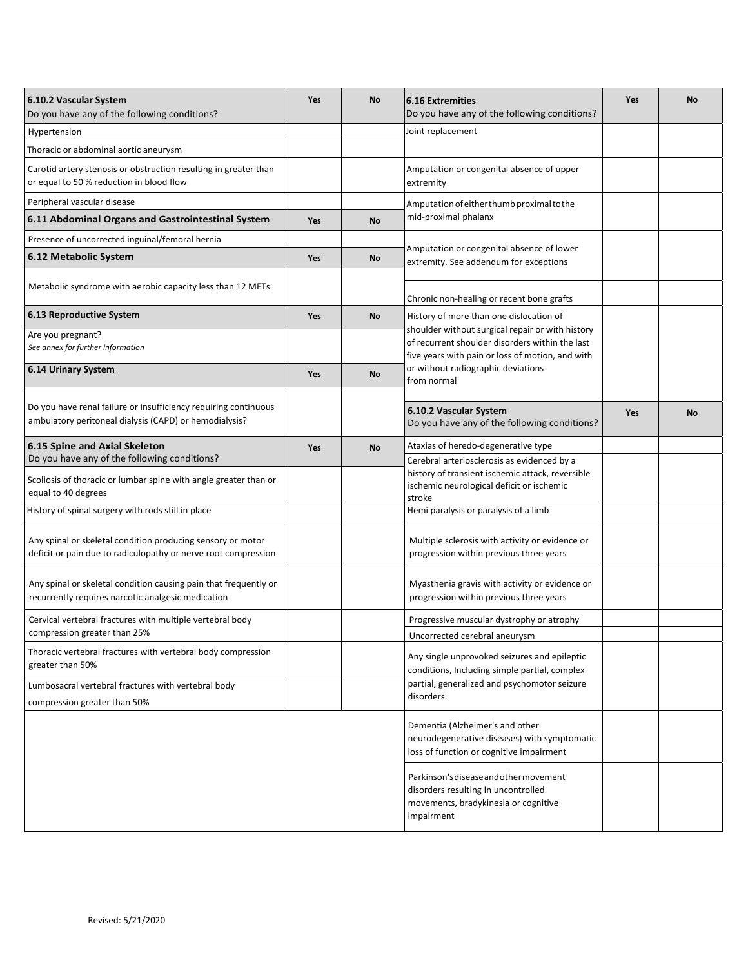| 6.10.2 Vascular System<br>Do you have any of the following conditions?                                                                  | <b>Yes</b> | No | <b>6.16 Extremities</b><br>Do you have any of the following conditions?                                                                      | <b>Yes</b> | No        |
|-----------------------------------------------------------------------------------------------------------------------------------------|------------|----|----------------------------------------------------------------------------------------------------------------------------------------------|------------|-----------|
| Hypertension                                                                                                                            |            |    | Joint replacement                                                                                                                            |            |           |
| Thoracic or abdominal aortic aneurysm                                                                                                   |            |    |                                                                                                                                              |            |           |
| Carotid artery stenosis or obstruction resulting in greater than<br>or equal to 50 % reduction in blood flow                            |            |    | Amputation or congenital absence of upper<br>extremity                                                                                       |            |           |
| Peripheral vascular disease                                                                                                             |            |    | Amputation of either thumb proximal to the<br>mid-proximal phalanx                                                                           |            |           |
| 6.11 Abdominal Organs and Gastrointestinal System                                                                                       | <b>Yes</b> | No |                                                                                                                                              |            |           |
| Presence of uncorrected inguinal/femoral hernia                                                                                         |            |    | Amputation or congenital absence of lower<br>extremity. See addendum for exceptions                                                          |            |           |
| 6.12 Metabolic System                                                                                                                   | Yes        | No |                                                                                                                                              |            |           |
| Metabolic syndrome with aerobic capacity less than 12 METs                                                                              |            |    | Chronic non-healing or recent bone grafts                                                                                                    |            |           |
| 6.13 Reproductive System                                                                                                                | Yes        | No | History of more than one dislocation of                                                                                                      |            |           |
| Are you pregnant?                                                                                                                       |            |    | shoulder without surgical repair or with history<br>of recurrent shoulder disorders within the last                                          |            |           |
| See annex for further information                                                                                                       |            |    | five years with pain or loss of motion, and with                                                                                             |            |           |
| 6.14 Urinary System                                                                                                                     | Yes        | No | or without radiographic deviations<br>from normal                                                                                            |            |           |
| Do you have renal failure or insufficiency requiring continuous<br>ambulatory peritoneal dialysis (CAPD) or hemodialysis?               |            |    | 6.10.2 Vascular System<br>Do you have any of the following conditions?                                                                       | Yes        | <b>No</b> |
| 6.15 Spine and Axial Skeleton                                                                                                           | Yes        | No | Ataxias of heredo-degenerative type                                                                                                          |            |           |
| Do you have any of the following conditions?<br>Scoliosis of thoracic or lumbar spine with angle greater than or<br>equal to 40 degrees |            |    | Cerebral arteriosclerosis as evidenced by a<br>history of transient ischemic attack, reversible<br>ischemic neurological deficit or ischemic |            |           |
| History of spinal surgery with rods still in place                                                                                      |            |    | stroke<br>Hemi paralysis or paralysis of a limb                                                                                              |            |           |
| Any spinal or skeletal condition producing sensory or motor<br>deficit or pain due to radiculopathy or nerve root compression           |            |    | Multiple sclerosis with activity or evidence or<br>progression within previous three years                                                   |            |           |
| Any spinal or skeletal condition causing pain that frequently or<br>recurrently requires narcotic analgesic medication                  |            |    | Myasthenia gravis with activity or evidence or<br>progression within previous three years                                                    |            |           |
| Cervical vertebral fractures with multiple vertebral body                                                                               |            |    | Progressive muscular dystrophy or atrophy                                                                                                    |            |           |
| compression greater than 25%                                                                                                            |            |    | Uncorrected cerebral aneurysm                                                                                                                |            |           |
| Thoracic vertebral fractures with vertebral body compression<br>greater than 50%                                                        |            |    | Any single unprovoked seizures and epileptic<br>conditions, Including simple partial, complex                                                |            |           |
| Lumbosacral vertebral fractures with vertebral body                                                                                     |            |    | partial, generalized and psychomotor seizure                                                                                                 |            |           |
| compression greater than 50%                                                                                                            |            |    | disorders.                                                                                                                                   |            |           |
|                                                                                                                                         |            |    | Dementia (Alzheimer's and other<br>neurodegenerative diseases) with symptomatic<br>loss of function or cognitive impairment                  |            |           |
|                                                                                                                                         |            |    | Parkinson's disease and other movement<br>disorders resulting In uncontrolled<br>movements, bradykinesia or cognitive<br>impairment          |            |           |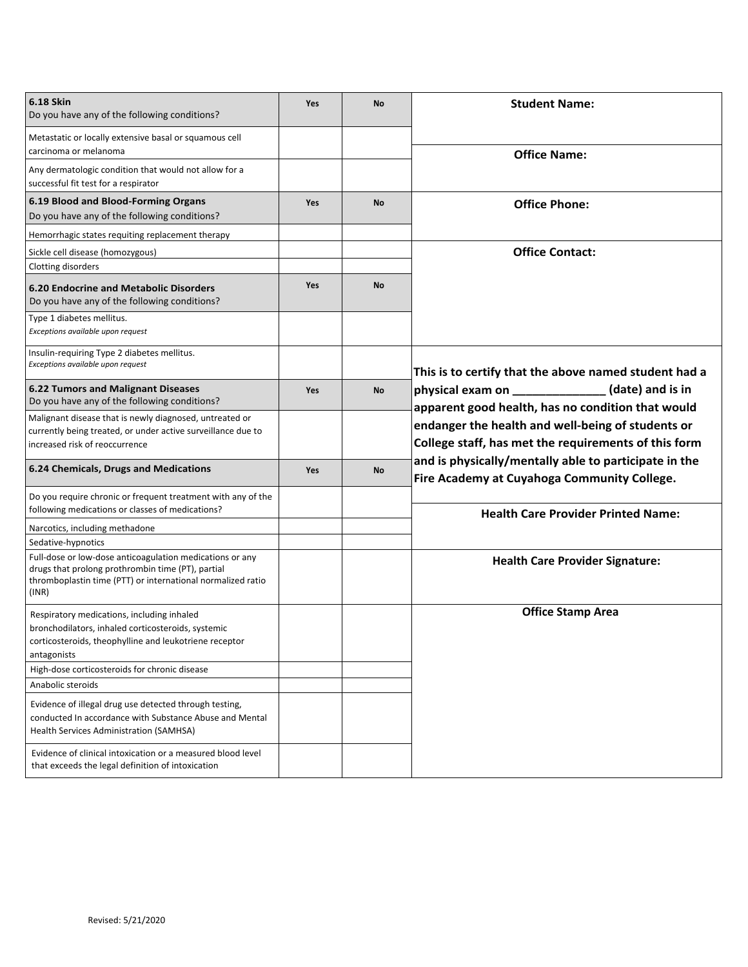| 6.18 Skin<br>Do you have any of the following conditions?                                                                                                                             | Yes | <b>No</b> | <b>Student Name:</b>                                                                                                                                                                    |  |  |
|---------------------------------------------------------------------------------------------------------------------------------------------------------------------------------------|-----|-----------|-----------------------------------------------------------------------------------------------------------------------------------------------------------------------------------------|--|--|
| Metastatic or locally extensive basal or squamous cell                                                                                                                                |     |           |                                                                                                                                                                                         |  |  |
| carcinoma or melanoma<br>Any dermatologic condition that would not allow for a<br>successful fit test for a respirator                                                                |     |           | <b>Office Name:</b>                                                                                                                                                                     |  |  |
| 6.19 Blood and Blood-Forming Organs<br>Do you have any of the following conditions?                                                                                                   | Yes | No        | <b>Office Phone:</b>                                                                                                                                                                    |  |  |
| Hemorrhagic states requiting replacement therapy                                                                                                                                      |     |           |                                                                                                                                                                                         |  |  |
| Sickle cell disease (homozygous)<br>Clotting disorders                                                                                                                                |     |           | <b>Office Contact:</b>                                                                                                                                                                  |  |  |
| <b>6.20 Endocrine and Metabolic Disorders</b><br>Do you have any of the following conditions?                                                                                         | Yes | <b>No</b> |                                                                                                                                                                                         |  |  |
| Type 1 diabetes mellitus.<br>Exceptions available upon request                                                                                                                        |     |           |                                                                                                                                                                                         |  |  |
| Insulin-requiring Type 2 diabetes mellitus.<br>Exceptions available upon request                                                                                                      |     |           | This is to certify that the above named student had a                                                                                                                                   |  |  |
| <b>6.22 Tumors and Malignant Diseases</b><br>Do you have any of the following conditions?                                                                                             | Yes | No        | $\_$ (date) and is in<br>apparent good health, has no condition that would<br>endanger the health and well-being of students or<br>College staff, has met the requirements of this form |  |  |
| Malignant disease that is newly diagnosed, untreated or<br>currently being treated, or under active surveillance due to<br>increased risk of reoccurrence                             |     |           |                                                                                                                                                                                         |  |  |
| 6.24 Chemicals, Drugs and Medications                                                                                                                                                 | Yes | No        | and is physically/mentally able to participate in the<br>Fire Academy at Cuyahoga Community College.                                                                                    |  |  |
| Do you require chronic or frequent treatment with any of the<br>following medications or classes of medications?                                                                      |     |           | <b>Health Care Provider Printed Name:</b>                                                                                                                                               |  |  |
| Narcotics, including methadone<br>Sedative-hypnotics                                                                                                                                  |     |           |                                                                                                                                                                                         |  |  |
| Full-dose or low-dose anticoagulation medications or any<br>drugs that prolong prothrombin time (PT), partial<br>thromboplastin time (PTT) or international normalized ratio<br>(INR) |     |           | <b>Health Care Provider Signature:</b>                                                                                                                                                  |  |  |
| Respiratory medications, including inhaled<br>bronchodilators, inhaled corticosteroids, systemic<br>corticosteroids, theophylline and leukotriene receptor<br>antagonists             |     |           | <b>Office Stamp Area</b>                                                                                                                                                                |  |  |
| High-dose corticosteroids for chronic disease                                                                                                                                         |     |           |                                                                                                                                                                                         |  |  |
| Anabolic steroids                                                                                                                                                                     |     |           |                                                                                                                                                                                         |  |  |
| Evidence of illegal drug use detected through testing,<br>conducted In accordance with Substance Abuse and Mental<br><b>Health Services Administration (SAMHSA)</b>                   |     |           |                                                                                                                                                                                         |  |  |
| Evidence of clinical intoxication or a measured blood level<br>that exceeds the legal definition of intoxication                                                                      |     |           |                                                                                                                                                                                         |  |  |